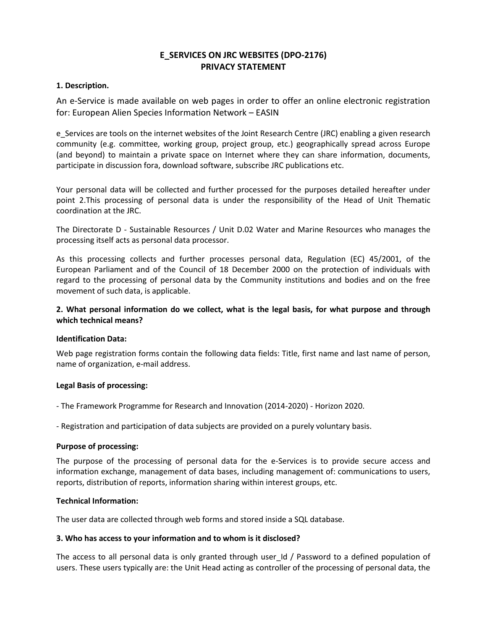# **E\_SERVICES ON JRC WEBSITES (DPO-2176) PRIVACY STATEMENT**

# **1. Description.**

An e-Service is made available on web pages in order to offer an online electronic registration for: European Alien Species Information Network – EASIN

e Services are tools on the internet websites of the Joint Research Centre (JRC) enabling a given research community (e.g. committee, working group, project group, etc.) geographically spread across Europe (and beyond) to maintain a private space on Internet where they can share information, documents, participate in discussion fora, download software, subscribe JRC publications etc.

Your personal data will be collected and further processed for the purposes detailed hereafter under point 2.This processing of personal data is under the responsibility of the Head of Unit Thematic coordination at the JRC.

The Directorate D - Sustainable Resources / Unit D.02 Water and Marine Resources who manages the processing itself acts as personal data processor.

As this processing collects and further processes personal data, Regulation (EC) 45/2001, of the European Parliament and of the Council of 18 December 2000 on the protection of individuals with regard to the processing of personal data by the Community institutions and bodies and on the free movement of such data, is applicable.

# **2. What personal information do we collect, what is the legal basis, for what purpose and through which technical means?**

#### **Identification Data:**

Web page registration forms contain the following data fields: Title, first name and last name of person, name of organization, e-mail address.

#### **Legal Basis of processing:**

- The Framework Programme for Research and Innovation (2014-2020) - Horizon 2020.

- Registration and participation of data subjects are provided on a purely voluntary basis.

#### **Purpose of processing:**

The purpose of the processing of personal data for the e-Services is to provide secure access and information exchange, management of data bases, including management of: communications to users, reports, distribution of reports, information sharing within interest groups, etc.

#### **Technical Information:**

The user data are collected through web forms and stored inside a SQL database.

#### **3. Who has access to your information and to whom is it disclosed?**

The access to all personal data is only granted through user\_Id / Password to a defined population of users. These users typically are: the Unit Head acting as controller of the processing of personal data, the